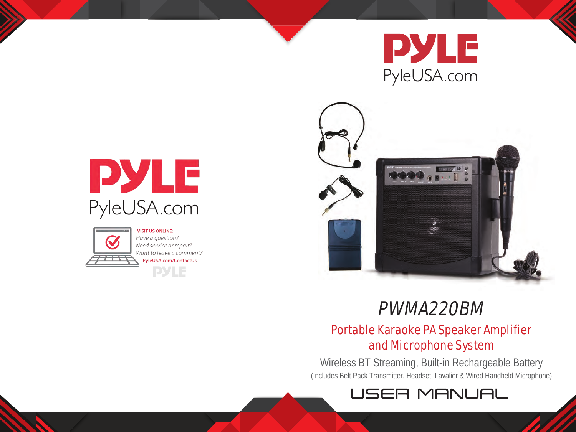



# PWMA220BM

# Portable Karaoke PA Speaker Amplifier and Microphone System

Wireless BT Streaming, Built-in Rechargeable Battery (Includes Belt Pack Transmitter, Headset, Lavalier & Wired Handheld Microphone)







**VISIT US ONLINE:** Have a question? Need service or repair? Want to leave a comment? PyleUSA.com/ContactUs **PYLE**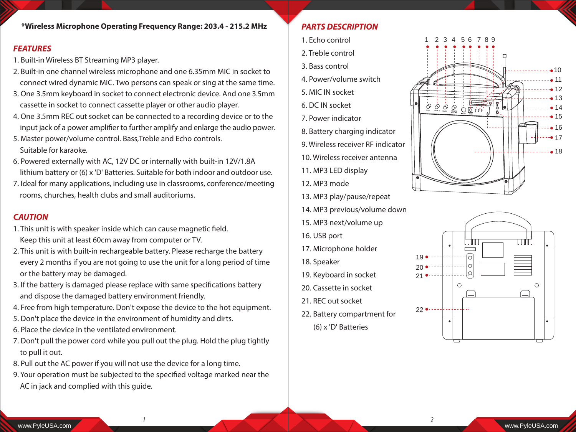#### *FEATURES*

- 1. Built-in Wireless BT Streaming MP3 player.
- 2. Built-in one channel wireless microphone and one 6.35mm MIC in socket to connect wired dynamic MIC. Two persons can speak or sing at the same time.
- 3. One 3.5mm keyboard in socket to connect electronic device. And one 3.5mm cassette in socket to connect cassette player or other audio player.
- 4. One 3.5mm REC out socket can be connected to a recording device or to the input jack of a power amplifier to further amplify and enlarge the audio power.
- 5. Master power/volume control. Bass,Treble and Echo controls. Suitable for karaoke.
- 6. Powered externally with AC, 12V DC or internally with built-in 12V/1.8A lithium battery or (6) x 'D' Batteries. Suitable for both indoor and outdoor use.
- 7. Ideal for many applications, including use in classrooms, conference/meeting rooms, churches, health clubs and small auditoriums.

## *CAUTION*

- 1. This unit is with speaker inside which can cause magnetic field. Keep this unit at least 60cm away from computer or TV.
- 2. This unit is with built-in rechargeable battery. Please recharge the battery every 2 months if you are not going to use the unit for a long period of time or the battery may be damaged.
- 3. If the battery is damaged please replace with same specifications battery and dispose the damaged battery environment friendly.
- 4. Free from high temperature. Don't expose the device to the hot equipment.
- 5. Don't place the device in the environment of humidity and dirts.
- 6. Place the device in the ventilated environment.
- 7. Don't pull the power cord while you pull out the plug. Hold the plug tightly to pull it out.
- 8. Pull out the AC power if you will not use the device for a long time.
- 9. Your operation must be subjected to the specified voltage marked near the AC in jack and complied with this guide.

#### *PARTS DESCRIPTION*

- 1. Echo control
- 2. Treble control
- 3. Bass control
- 4. Power/volume switch
- 5. MIC IN socket
- 6. DC IN socket
- 7. Power indicator
- 8. Battery charging indicator
- 9. Wireless receiver RF indicator
- 10. Wireless receiver antenna
- 11. MP3 LED display
- 12. MP3 mode
- 13. MP3 play/pause/repeat
- 14. MP3 previous/volume down
- 15. MP3 next/volume up
- 16. USB port
- 17. Microphone holder
- 18. Speaker

*1 2*

- 19. Keyboard in socket
- 20. Cassette in socket
- 21. REC out socket
- 22. Battery compartment for
	- (6) x 'D' Batteries



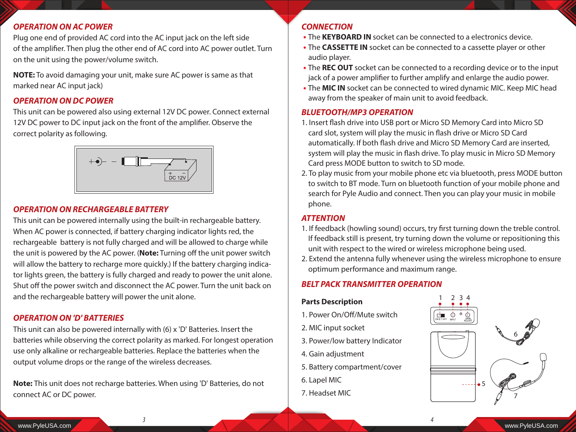#### *OPERATION ON AC POWER*

Plug one end of provided AC cord into the AC input jack on the left side of the amplifier. Then plug the other end of AC cord into AC power outlet. Turn on the unit using the power/volume switch.

**NOTE:** To avoid damaging your unit, make sure AC power is same as that marked near AC input jack)

#### *OPERATION ON DC POWER*

This unit can be powered also using external 12V DC power. Connect external 12V DC power to DC input jack on the front of the amplifier. Observe the correct polarity as following.



#### *OPERATION ON RECHARGEABLE BATTERY*

This unit can be powered internally using the built-in rechargeable battery. When AC power is connected, if battery charging indicator lights red, the rechargeable battery is not fully charged and will be allowed to charge while the unit is powered by the AC power. (Note: Turning off the unit power switch will allow the battery to recharge more quickly.) If the battery charging indicator lights green, the battery is fully charged and ready to power the unit alone. Shut off the power switch and disconnect the AC power. Turn the unit back on and the rechargeable battery will power the unit alone.

#### *OPERATION ON 'D' BATTERIES*

This unit can also be powered internally with (6) x 'D' Batteries. Insert the batteries while observing the correct polarity as marked. For longest operation use only alkaline or rechargeable batteries. Replace the batteries when the output volume drops or the range of the wireless decreases.

**Note:** This unit does not recharge batteries. When using 'D' Batteries, do not connect AC or DC power.

#### *CONNECTION*

- **•** The **KEYBOARD IN** socket can be connected to a electronics device.
- **•** The **CASSETTE IN** socket can be connected to a cassette player or other audio player.
- **•** The **REC OUT** socket can be connected to a recording device or to the input jack of a power amplifier to further amplify and enlarge the audio power.
- **•** The **MIC IN** socket can be connected to wired dynamic MIC. Keep MIC head away from the speaker of main unit to avoid feedback.

#### *BLUETOOTH/MP3 OPERATION*

- 1. Insert flash drive into USB port or Micro SD Memory Card into Micro SD card slot, system will play the music in flash drive or Micro SD Card automatically. If both flash drive and Micro SD Memory Card are inserted, system will play the music in flash drive. To play music in Micro SD Memory Card press MODE button to switch to SD mode.
- 2. To play music from your mobile phone etc via bluetooth, press MODE button to switch to BT mode. Turn on bluetooth function of your mobile phone and search for Pyle Audio and connect. Then you can play your music in mobile phone.

#### *ATTENTION*

- 1. If feedback (howling sound) occurs, try first turning down the treble control. If feedback still is present, try turning down the volume or repositioning this unit with respect to the wired or wireless microphone being used.
- 2. Extend the antenna fully whenever using the wireless microphone to ensure optimum performance and maximum range.

#### *BELT PACK TRANSMITTER OPERATION*

#### **Parts Description**

- 1. Power On/Off/Mute switch
- 2. MIC input socket
- 3. Power/low battery Indicator
- 4. Gain adjustment
- 5. Battery compartment/cover
- 6. Lapel MIC
- 7. Headset MIC



*3 4*